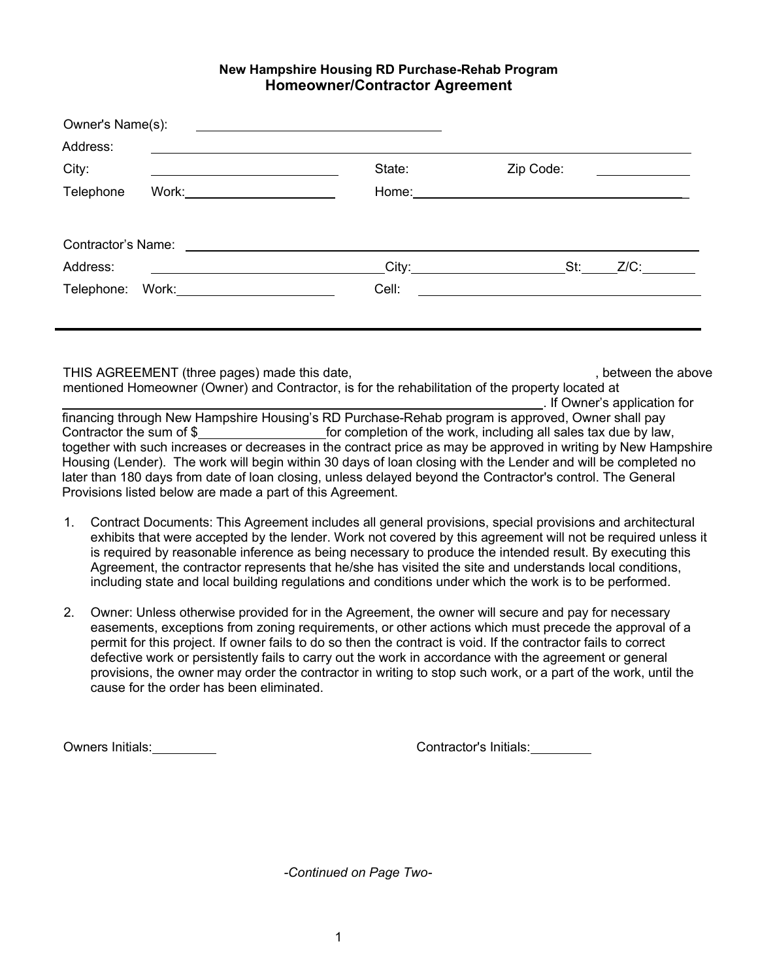## **New Hampshire Housing RD Purchase-Rehab Program Homeowner/Contractor Agreement**

| Address:  |                                                                                                                        |        |                                                                |
|-----------|------------------------------------------------------------------------------------------------------------------------|--------|----------------------------------------------------------------|
| City:     | <u> 1989 - Johann Stoff, deutscher Stoffen und der Stoffen und der Stoffen und der Stoffen und der Stoffen und der</u> | State: | Zip Code:<br><u> 1989 - Andrea Brand, amerikansk politik (</u> |
| Telephone | Work: ________________________                                                                                         | Home:  |                                                                |
|           |                                                                                                                        |        |                                                                |
| Address:  |                                                                                                                        |        | $\overline{\phantom{a}}$ City:<br>St:<br>Z/C:                  |
|           | Telephone: Work: 2000                                                                                                  | Cell:  |                                                                |
|           |                                                                                                                        |        |                                                                |

THIS AGREEMENT (three pages) made this date,  $\blacksquare$ , between the above mentioned Homeowner (Owner) and Contractor, is for the rehabilitation of the property located at . If Owner's application for

financing through New Hampshire Housing's RD Purchase-Rehab program is approved, Owner shall pay Contractor the sum of \$ for completion of the work, including all sales tax due by law, together with such increases or decreases in the contract price as may be approved in writing by New Hampshire Housing (Lender). The work will begin within 30 days of loan closing with the Lender and will be completed no later than 180 days from date of loan closing, unless delayed beyond the Contractor's control. The General Provisions listed below are made a part of this Agreement.

- 1. Contract Documents: This Agreement includes all general provisions, special provisions and architectural exhibits that were accepted by the lender. Work not covered by this agreement will not be required unless it is required by reasonable inference as being necessary to produce the intended result. By executing this Agreement, the contractor represents that he/she has visited the site and understands local conditions, including state and local building regulations and conditions under which the work is to be performed.
- 2. Owner: Unless otherwise provided for in the Agreement, the owner will secure and pay for necessary easements, exceptions from zoning requirements, or other actions which must precede the approval of a permit for this project. If owner fails to do so then the contract is void. If the contractor fails to correct defective work or persistently fails to carry out the work in accordance with the agreement or general provisions, the owner may order the contractor in writing to stop such work, or a part of the work, until the cause for the order has been eliminated.

Owners Initials: Contractor's Initials:

*-Continued on Page Two-*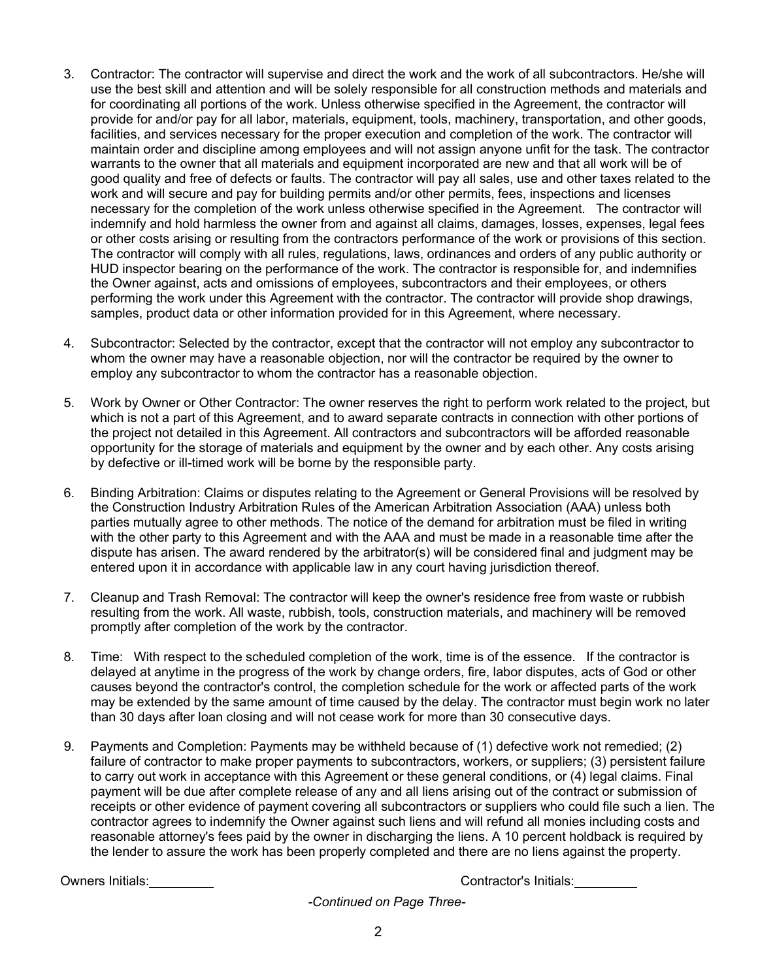- 3. Contractor: The contractor will supervise and direct the work and the work of all subcontractors. He/she will use the best skill and attention and will be solely responsible for all construction methods and materials and for coordinating all portions of the work. Unless otherwise specified in the Agreement, the contractor will provide for and/or pay for all labor, materials, equipment, tools, machinery, transportation, and other goods, facilities, and services necessary for the proper execution and completion of the work. The contractor will maintain order and discipline among employees and will not assign anyone unfit for the task. The contractor warrants to the owner that all materials and equipment incorporated are new and that all work will be of good quality and free of defects or faults. The contractor will pay all sales, use and other taxes related to the work and will secure and pay for building permits and/or other permits, fees, inspections and licenses necessary for the completion of the work unless otherwise specified in the Agreement. The contractor will indemnify and hold harmless the owner from and against all claims, damages, losses, expenses, legal fees or other costs arising or resulting from the contractors performance of the work or provisions of this section. The contractor will comply with all rules, regulations, laws, ordinances and orders of any public authority or HUD inspector bearing on the performance of the work. The contractor is responsible for, and indemnifies the Owner against, acts and omissions of employees, subcontractors and their employees, or others performing the work under this Agreement with the contractor. The contractor will provide shop drawings, samples, product data or other information provided for in this Agreement, where necessary.
- 4. Subcontractor: Selected by the contractor, except that the contractor will not employ any subcontractor to whom the owner may have a reasonable objection, nor will the contractor be required by the owner to employ any subcontractor to whom the contractor has a reasonable objection.
- 5. Work by Owner or Other Contractor: The owner reserves the right to perform work related to the project, but which is not a part of this Agreement, and to award separate contracts in connection with other portions of the project not detailed in this Agreement. All contractors and subcontractors will be afforded reasonable opportunity for the storage of materials and equipment by the owner and by each other. Any costs arising by defective or ill-timed work will be borne by the responsible party.
- 6. Binding Arbitration: Claims or disputes relating to the Agreement or General Provisions will be resolved by the Construction Industry Arbitration Rules of the American Arbitration Association (AAA) unless both parties mutually agree to other methods. The notice of the demand for arbitration must be filed in writing with the other party to this Agreement and with the AAA and must be made in a reasonable time after the dispute has arisen. The award rendered by the arbitrator(s) will be considered final and judgment may be entered upon it in accordance with applicable law in any court having jurisdiction thereof.
- 7. Cleanup and Trash Removal: The contractor will keep the owner's residence free from waste or rubbish resulting from the work. All waste, rubbish, tools, construction materials, and machinery will be removed promptly after completion of the work by the contractor.
- 8. Time: With respect to the scheduled completion of the work, time is of the essence. If the contractor is delayed at anytime in the progress of the work by change orders, fire, labor disputes, acts of God or other causes beyond the contractor's control, the completion schedule for the work or affected parts of the work may be extended by the same amount of time caused by the delay. The contractor must begin work no later than 30 days after loan closing and will not cease work for more than 30 consecutive days.
- 9. Payments and Completion: Payments may be withheld because of (1) defective work not remedied; (2) failure of contractor to make proper payments to subcontractors, workers, or suppliers; (3) persistent failure to carry out work in acceptance with this Agreement or these general conditions, or (4) legal claims. Final payment will be due after complete release of any and all liens arising out of the contract or submission of receipts or other evidence of payment covering all subcontractors or suppliers who could file such a lien. The contractor agrees to indemnify the Owner against such liens and will refund all monies including costs and reasonable attorney's fees paid by the owner in discharging the liens. A 10 percent holdback is required by the lender to assure the work has been properly completed and there are no liens against the property.

Owners Initials: Contractor's Initials:

*-Continued on Page Three-*